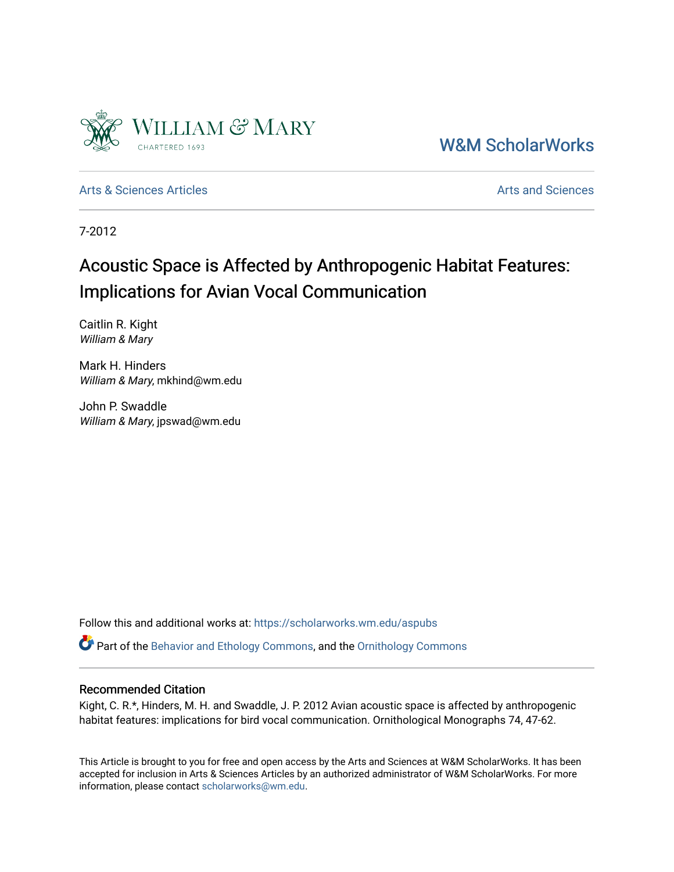

[W&M ScholarWorks](https://scholarworks.wm.edu/) 

[Arts & Sciences Articles](https://scholarworks.wm.edu/aspubs) **Articles** [Arts and Sciences](https://scholarworks.wm.edu/as) Articles Arts and Sciences Arts and Sciences Articles **Arts** and Sciences Articles **Arts** and Sciences **Arts** and Sciences **Arts** and Sciences **Arts** and Sciences **Arts** 

7-2012

# Acoustic Space is Affected by Anthropogenic Habitat Features: Implications for Avian Vocal Communication

Caitlin R. Kight William & Mary

Mark H. Hinders William & Mary, mkhind@wm.edu

John P. Swaddle William & Mary, jpswad@wm.edu

Follow this and additional works at: [https://scholarworks.wm.edu/aspubs](https://scholarworks.wm.edu/aspubs?utm_source=scholarworks.wm.edu%2Faspubs%2F5&utm_medium=PDF&utm_campaign=PDFCoverPages) 

Part of the [Behavior and Ethology Commons,](http://network.bepress.com/hgg/discipline/15?utm_source=scholarworks.wm.edu%2Faspubs%2F5&utm_medium=PDF&utm_campaign=PDFCoverPages) and the [Ornithology Commons](http://network.bepress.com/hgg/discipline/1190?utm_source=scholarworks.wm.edu%2Faspubs%2F5&utm_medium=PDF&utm_campaign=PDFCoverPages) 

### Recommended Citation

Kight, C. R.\*, Hinders, M. H. and Swaddle, J. P. 2012 Avian acoustic space is affected by anthropogenic habitat features: implications for bird vocal communication. Ornithological Monographs 74, 47-62.

This Article is brought to you for free and open access by the Arts and Sciences at W&M ScholarWorks. It has been accepted for inclusion in Arts & Sciences Articles by an authorized administrator of W&M ScholarWorks. For more information, please contact [scholarworks@wm.edu](mailto:scholarworks@wm.edu).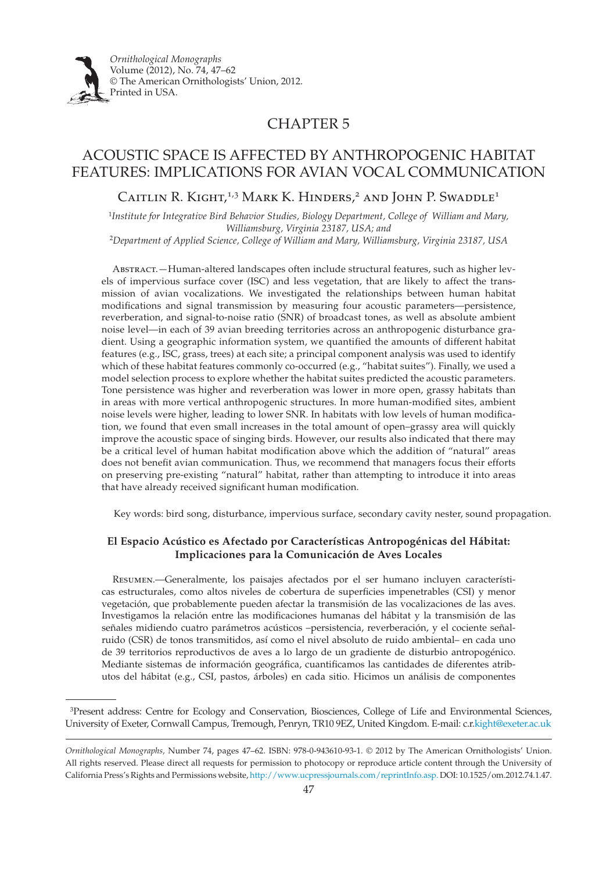

## CHAPTER 5

### Acoustic space is affected by anthropogenic habitat features: implications for AVIAN vocal communication

CAITLIN R. KIGHT,<sup>1,3</sup> MARK K. HINDERS,<sup>2</sup> AND JOHN P. SWADDLE<sup>1</sup>

<sup>1</sup>*Institute for Integrative Bird Behavior Studies, Biology Department, College of William and Mary, Williamsburg, Virginia 23187, USA; and* 

<sup>2</sup>*Department of Applied Science, College of William and Mary, Williamsburg, Virginia 23187, USA*

Abstract.—Human-altered landscapes often include structural features, such as higher levels of impervious surface cover (ISC) and less vegetation, that are likely to affect the transmission of avian vocalizations. We investigated the relationships between human habitat modifications and signal transmission by measuring four acoustic parameters—persistence, reverberation, and signal-to-noise ratio (SNR) of broadcast tones, as well as absolute ambient noise level—in each of 39 avian breeding territories across an anthropogenic disturbance gradient. Using a geographic information system, we quantified the amounts of different habitat features (e.g., ISC, grass, trees) at each site; a principal component analysis was used to identify which of these habitat features commonly co-occurred (e.g., "habitat suites"). Finally, we used a model selection process to explore whether the habitat suites predicted the acoustic parameters. Tone persistence was higher and reverberation was lower in more open, grassy habitats than in areas with more vertical anthropogenic structures. In more human-modified sites, ambient noise levels were higher, leading to lower SNR. In habitats with low levels of human modification, we found that even small increases in the total amount of open–grassy area will quickly improve the acoustic space of singing birds. However, our results also indicated that there may be a critical level of human habitat modification above which the addition of "natural" areas does not benefit avian communication. Thus, we recommend that managers focus their efforts on preserving pre-existing "natural" habitat, rather than attempting to introduce it into areas that have already received significant human modification.

Key words: bird song, disturbance, impervious surface, secondary cavity nester, sound propagation.

### **El Espacio Acústico es Afectado por Características Antropogénicas del Hábitat: Implicaciones para la Comunicación de Aves Locales**

Resumen.—Generalmente, los paisajes afectados por el ser humano incluyen características estructurales, como altos niveles de cobertura de superficies impenetrables (CSI) y menor vegetación, que probablemente pueden afectar la transmisión de las vocalizaciones de las aves. Investigamos la relación entre las modificaciones humanas del hábitat y la transmisión de las señales midiendo cuatro parámetros acústicos –persistencia, reverberación, y el cociente señalruido (CSR) de tonos transmitidos, así como el nivel absoluto de ruido ambiental– en cada uno de 39 territorios reproductivos de aves a lo largo de un gradiente de disturbio antropogénico. Mediante sistemas de información geográfica, cuantificamos las cantidades de diferentes atributos del hábitat (e.g., CSI, pastos, árboles) en cada sitio. Hicimos un análisis de componentes

3Present address: Centre for Ecology and Conservation, Biosciences, College of Life and Environmental Sciences, University of Exeter, Cornwall Campus, Tremough, Penryn, TR10 9EZ, United Kingdom. E-mail: c.r.kight@exeter.ac.uk

*Ornithological Monographs,* Number 74, pages 47–62. ISBN: 978-0-943610-93-1. © 2012 by The American Ornithologists' Union. All rights reserved. Please direct all requests for permission to photocopy or reproduce article content through the University of California Press's Rights and Permissions website, http://www.ucpressjournals.com/reprintInfo.asp. DOI: 10.1525/om.2012.74.1.47.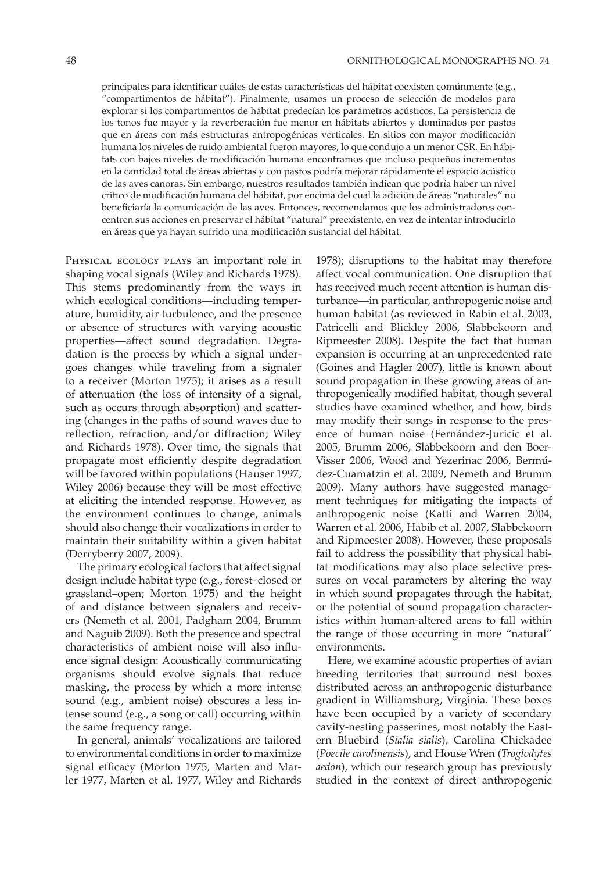principales para identificar cuáles de estas características del hábitat coexisten comúnmente (e.g., "compartimentos de hábitat"). Finalmente, usamos un proceso de selección de modelos para explorar si los compartimentos de hábitat predecían los parámetros acústicos. La persistencia de los tonos fue mayor y la reverberación fue menor en hábitats abiertos y dominados por pastos que en áreas con más estructuras antropogénicas verticales. En sitios con mayor modificación humana los niveles de ruido ambiental fueron mayores, lo que condujo a un menor CSR. En hábitats con bajos niveles de modificación humana encontramos que incluso pequeños incrementos en la cantidad total de áreas abiertas y con pastos podría mejorar rápidamente el espacio acústico de las aves canoras. Sin embargo, nuestros resultados también indican que podría haber un nivel crítico de modificación humana del hábitat, por encima del cual la adición de áreas "naturales" no beneficiaría la comunicación de las aves. Entonces, recomendamos que los administradores concentren sus acciones en preservar el hábitat "natural" preexistente, en vez de intentar introducirlo en áreas que ya hayan sufrido una modificación sustancial del hábitat.

Physical ecology plays an important role in shaping vocal signals (Wiley and Richards 1978). This stems predominantly from the ways in which ecological conditions—including temperature, humidity, air turbulence, and the presence or absence of structures with varying acoustic properties—affect sound degradation. Degradation is the process by which a signal undergoes changes while traveling from a signaler to a receiver (Morton 1975); it arises as a result of attenuation (the loss of intensity of a signal, such as occurs through absorption) and scattering (changes in the paths of sound waves due to reflection, refraction, and/or diffraction; Wiley and Richards 1978). Over time, the signals that propagate most efficiently despite degradation will be favored within populations (Hauser 1997, Wiley 2006) because they will be most effective at eliciting the intended response. However, as the environment continues to change, animals should also change their vocalizations in order to maintain their suitability within a given habitat (Derryberry 2007, 2009).

The primary ecological factors that affect signal design include habitat type (e.g., forest–closed or grassland–open; Morton 1975) and the height of and distance between signalers and receivers (Nemeth et al. 2001, Padgham 2004, Brumm and Naguib 2009). Both the presence and spectral characteristics of ambient noise will also influence signal design: Acoustically communicating organisms should evolve signals that reduce masking, the process by which a more intense sound (e.g., ambient noise) obscures a less intense sound (e.g., a song or call) occurring within the same frequency range.

In general, animals' vocalizations are tailored to environmental conditions in order to maximize signal efficacy (Morton 1975, Marten and Marler 1977, Marten et al. 1977, Wiley and Richards

1978); disruptions to the habitat may therefore affect vocal communication. One disruption that has received much recent attention is human disturbance—in particular, anthropogenic noise and human habitat (as reviewed in Rabin et al. 2003, Patricelli and Blickley 2006, Slabbekoorn and Ripmeester 2008). Despite the fact that human expansion is occurring at an unprecedented rate (Goines and Hagler 2007), little is known about sound propagation in these growing areas of anthropogenically modified habitat, though several studies have examined whether, and how, birds may modify their songs in response to the presence of human noise (Fernández-Juricic et al. 2005, Brumm 2006, Slabbekoorn and den Boer-Visser 2006, Wood and Yezerinac 2006, Bermúdez-Cuamatzin et al. 2009, Nemeth and Brumm 2009). Many authors have suggested management techniques for mitigating the impacts of anthropogenic noise (Katti and Warren 2004, Warren et al. 2006, Habib et al. 2007, Slabbekoorn and Ripmeester 2008). However, these proposals fail to address the possibility that physical habitat modifications may also place selective pressures on vocal parameters by altering the way in which sound propagates through the habitat, or the potential of sound propagation characteristics within human-altered areas to fall within the range of those occurring in more "natural" environments.

Here, we examine acoustic properties of avian breeding territories that surround nest boxes distributed across an anthropogenic disturbance gradient in Williamsburg, Virginia. These boxes have been occupied by a variety of secondary cavity-nesting passerines, most notably the Eastern Bluebird (*Sialia sialis*), Carolina Chickadee (*Poecile carolinensis*), and House Wren (*Troglodytes aedon*), which our research group has previously studied in the context of direct anthropogenic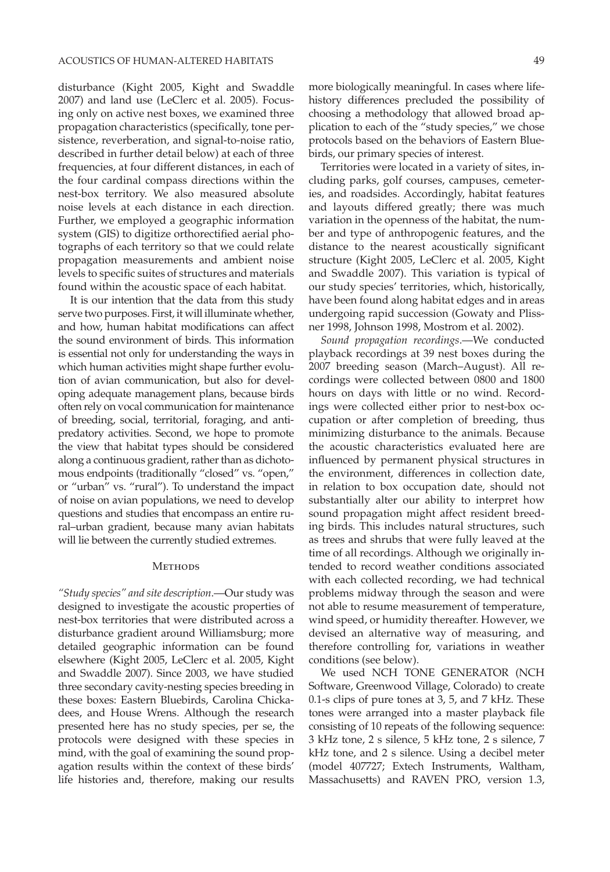disturbance (Kight 2005, Kight and Swaddle 2007) and land use (LeClerc et al. 2005). Focusing only on active nest boxes, we examined three propagation characteristics (specifically, tone persistence, reverberation, and signal-to-noise ratio, described in further detail below) at each of three frequencies, at four different distances, in each of the four cardinal compass directions within the nest-box territory. We also measured absolute noise levels at each distance in each direction. Further, we employed a geographic information system (GIS) to digitize orthorectified aerial photographs of each territory so that we could relate propagation measurements and ambient noise levels to specific suites of structures and materials found within the acoustic space of each habitat.

It is our intention that the data from this study serve two purposes. First, it will illuminate whether, and how, human habitat modifications can affect the sound environment of birds. This information is essential not only for understanding the ways in which human activities might shape further evolution of avian communication, but also for developing adequate management plans, because birds often rely on vocal communication for maintenance of breeding, social, territorial, foraging, and antipredatory activities. Second, we hope to promote the view that habitat types should be considered along a continuous gradient, rather than as dichotomous endpoints (traditionally "closed" vs. "open," or "urban" vs. "rural"). To understand the impact of noise on avian populations, we need to develop questions and studies that encompass an entire rural–urban gradient, because many avian habitats will lie between the currently studied extremes.

### **METHODS**

*"Study species" and site description*.—Our study was designed to investigate the acoustic properties of nest-box territories that were distributed across a disturbance gradient around Williamsburg; more detailed geographic information can be found elsewhere (Kight 2005, LeClerc et al. 2005, Kight and Swaddle 2007). Since 2003, we have studied three secondary cavity-nesting species breeding in these boxes: Eastern Bluebirds, Carolina Chickadees, and House Wrens. Although the research presented here has no study species, per se, the protocols were designed with these species in mind, with the goal of examining the sound propagation results within the context of these birds' life histories and, therefore, making our results more biologically meaningful. In cases where lifehistory differences precluded the possibility of choosing a methodology that allowed broad application to each of the "study species," we chose protocols based on the behaviors of Eastern Bluebirds, our primary species of interest.

Territories were located in a variety of sites, including parks, golf courses, campuses, cemeteries, and roadsides. Accordingly, habitat features and layouts differed greatly; there was much variation in the openness of the habitat, the number and type of anthropogenic features, and the distance to the nearest acoustically significant structure (Kight 2005, LeClerc et al. 2005, Kight and Swaddle 2007). This variation is typical of our study species' territories, which, historically, have been found along habitat edges and in areas undergoing rapid succession (Gowaty and Plissner 1998, Johnson 1998, Mostrom et al. 2002).

*Sound propagation recordings*.—We conducted playback recordings at 39 nest boxes during the 2007 breeding season (March–August). All recordings were collected between 0800 and 1800 hours on days with little or no wind. Recordings were collected either prior to nest-box occupation or after completion of breeding, thus minimizing disturbance to the animals. Because the acoustic characteristics evaluated here are influenced by permanent physical structures in the environment, differences in collection date, in relation to box occupation date, should not substantially alter our ability to interpret how sound propagation might affect resident breeding birds. This includes natural structures, such as trees and shrubs that were fully leaved at the time of all recordings. Although we originally intended to record weather conditions associated with each collected recording, we had technical problems midway through the season and were not able to resume measurement of temperature, wind speed, or humidity thereafter. However, we devised an alternative way of measuring, and therefore controlling for, variations in weather conditions (see below).

We used NCH TONE GENERATOR (NCH Software, Greenwood Village, Colorado) to create 0.1-s clips of pure tones at 3, 5, and 7 kHz. These tones were arranged into a master playback file consisting of 10 repeats of the following sequence: 3 kHz tone, 2 s silence, 5 kHz tone, 2 s silence, 7 kHz tone, and 2 s silence. Using a decibel meter (model 407727; Extech Instruments, Waltham, Massachusetts) and RAVEN PRO, version 1.3,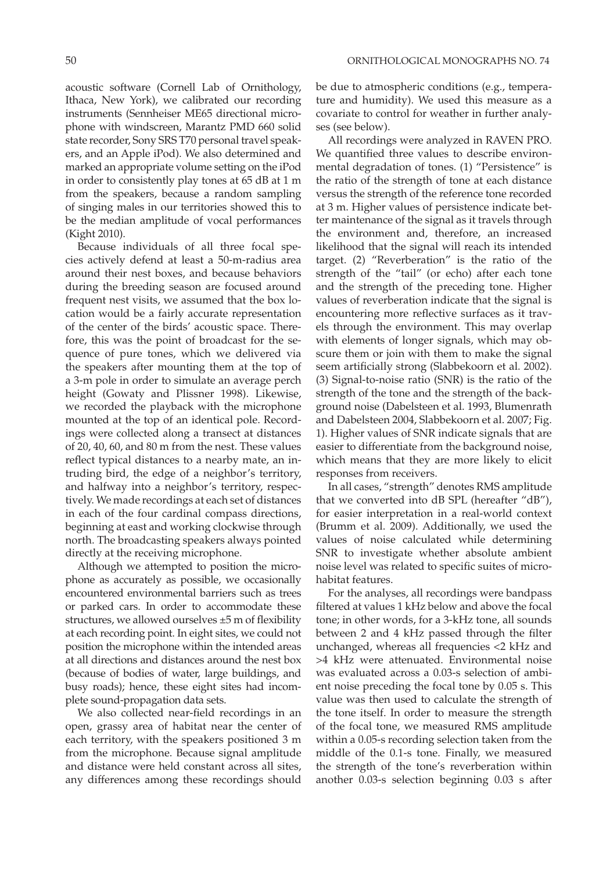acoustic software (Cornell Lab of Ornithology, Ithaca, New York), we calibrated our recording instruments (Sennheiser ME65 directional microphone with windscreen, Marantz PMD 660 solid state recorder, Sony SRS T70 personal travel speakers, and an Apple iPod). We also determined and marked an appropriate volume setting on the iPod in order to consistently play tones at 65 dB at 1 m from the speakers, because a random sampling of singing males in our territories showed this to be the median amplitude of vocal performances (Kight 2010).

Because individuals of all three focal species actively defend at least a 50-m-radius area around their nest boxes, and because behaviors during the breeding season are focused around frequent nest visits, we assumed that the box location would be a fairly accurate representation of the center of the birds' acoustic space. Therefore, this was the point of broadcast for the sequence of pure tones, which we delivered via the speakers after mounting them at the top of a 3-m pole in order to simulate an average perch height (Gowaty and Plissner 1998). Likewise, we recorded the playback with the microphone mounted at the top of an identical pole. Recordings were collected along a transect at distances of 20, 40, 60, and 80 m from the nest. These values reflect typical distances to a nearby mate, an intruding bird, the edge of a neighbor's territory, and halfway into a neighbor's territory, respectively. We made recordings at each set of distances in each of the four cardinal compass directions, beginning at east and working clockwise through north. The broadcasting speakers always pointed directly at the receiving microphone.

Although we attempted to position the microphone as accurately as possible, we occasionally encountered environmental barriers such as trees or parked cars. In order to accommodate these structures, we allowed ourselves ±5 m of flexibility at each recording point. In eight sites, we could not position the microphone within the intended areas at all directions and distances around the nest box (because of bodies of water, large buildings, and busy roads); hence, these eight sites had incomplete sound-propagation data sets.

We also collected near-field recordings in an open, grassy area of habitat near the center of each territory, with the speakers positioned 3 m from the microphone. Because signal amplitude and distance were held constant across all sites, any differences among these recordings should be due to atmospheric conditions (e.g., temperature and humidity). We used this measure as a covariate to control for weather in further analyses (see below).

All recordings were analyzed in RAVEN PRO. We quantified three values to describe environmental degradation of tones. (1) "Persistence" is the ratio of the strength of tone at each distance versus the strength of the reference tone recorded at 3 m. Higher values of persistence indicate better maintenance of the signal as it travels through the environment and, therefore, an increased likelihood that the signal will reach its intended target. (2) "Reverberation" is the ratio of the strength of the "tail" (or echo) after each tone and the strength of the preceding tone. Higher values of reverberation indicate that the signal is encountering more reflective surfaces as it travels through the environment. This may overlap with elements of longer signals, which may obscure them or join with them to make the signal seem artificially strong (Slabbekoorn et al. 2002). (3) Signal-to-noise ratio (SNR) is the ratio of the strength of the tone and the strength of the background noise (Dabelsteen et al. 1993, Blumenrath and Dabelsteen 2004, Slabbekoorn et al. 2007; Fig. 1). Higher values of SNR indicate signals that are easier to differentiate from the background noise, which means that they are more likely to elicit responses from receivers.

In all cases, "strength" denotes RMS amplitude that we converted into dB SPL (hereafter "dB"), for easier interpretation in a real-world context (Brumm et al. 2009). Additionally, we used the values of noise calculated while determining SNR to investigate whether absolute ambient noise level was related to specific suites of microhabitat features.

For the analyses, all recordings were bandpass filtered at values 1 kHz below and above the focal tone; in other words, for a 3-kHz tone, all sounds between 2 and 4 kHz passed through the filter unchanged, whereas all frequencies <2 kHz and >4 kHz were attenuated. Environmental noise was evaluated across a 0.03-s selection of ambient noise preceding the focal tone by 0.05 s. This value was then used to calculate the strength of the tone itself. In order to measure the strength of the focal tone, we measured RMS amplitude within a 0.05-s recording selection taken from the middle of the 0.1-s tone. Finally, we measured the strength of the tone's reverberation within another 0.03-s selection beginning 0.03 s after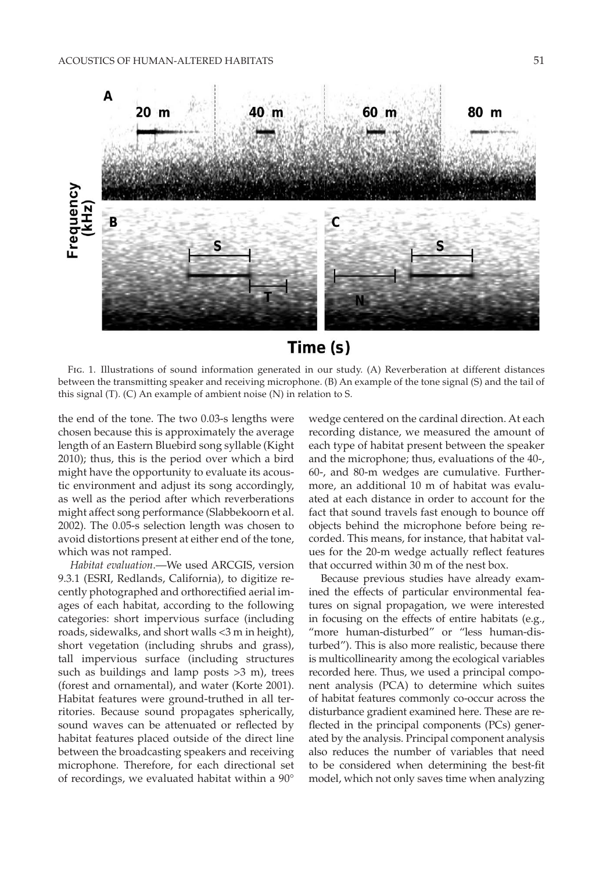

# Time (s)

FIG. 1. Illustrations of sound information generated in our study. (A) Reverberation at different distances between the transmitting speaker and receiving microphone. (B) An example of the tone signal (S) and the tail of this signal (T). (C) An example of ambient noise (N) in relation to S.

the end of the tone. The two 0.03-s lengths were chosen because this is approximately the average length of an Eastern Bluebird song syllable (Kight 2010); thus, this is the period over which a bird might have the opportunity to evaluate its acoustic environment and adjust its song accordingly, as well as the period after which reverberations might affect song performance (Slabbekoorn et al. 2002). The 0.05-s selection length was chosen to avoid distortions present at either end of the tone, which was not ramped.

*Habitat evaluation*.—We used ARCGIS, version 9.3.1 (ESRI, Redlands, California), to digitize recently photographed and orthorectified aerial images of each habitat, according to the following categories: short impervious surface (including roads, sidewalks, and short walls <3 m in height), short vegetation (including shrubs and grass), tall impervious surface (including structures such as buildings and lamp posts  $>3$  m), trees (forest and ornamental), and water (Korte 2001). Habitat features were ground-truthed in all territories. Because sound propagates spherically, sound waves can be attenuated or reflected by habitat features placed outside of the direct line between the broadcasting speakers and receiving microphone. Therefore, for each directional set of recordings, we evaluated habitat within a 90°

wedge centered on the cardinal direction. At each recording distance, we measured the amount of each type of habitat present between the speaker and the microphone; thus, evaluations of the 40-, 60-, and 80-m wedges are cumulative. Furthermore, an additional 10 m of habitat was evaluated at each distance in order to account for the fact that sound travels fast enough to bounce off objects behind the microphone before being recorded. This means, for instance, that habitat values for the 20-m wedge actually reflect features that occurred within 30 m of the nest box.

Because previous studies have already examined the effects of particular environmental features on signal propagation, we were interested in focusing on the effects of entire habitats (e.g., "more human-disturbed" or "less human-disturbed"). This is also more realistic, because there is multicollinearity among the ecological variables recorded here. Thus, we used a principal component analysis (PCA) to determine which suites of habitat features commonly co-occur across the disturbance gradient examined here. These are reflected in the principal components (PCs) generated by the analysis. Principal component analysis also reduces the number of variables that need to be considered when determining the best-fit model, which not only saves time when analyzing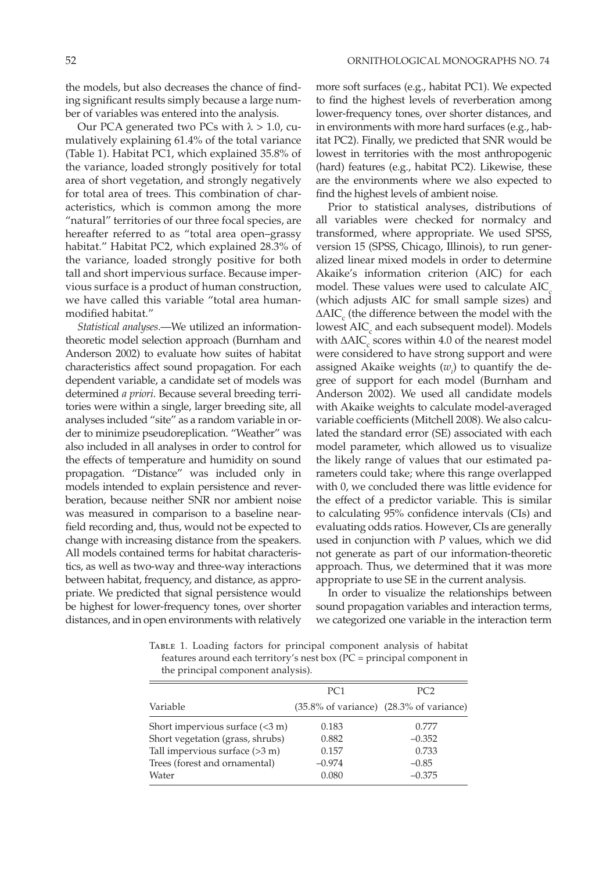the models, but also decreases the chance of finding significant results simply because a large number of variables was entered into the analysis.

Our PCA generated two PCs with  $\lambda > 1.0$ , cumulatively explaining 61.4% of the total variance (Table 1). Habitat PC1, which explained 35.8% of the variance, loaded strongly positively for total area of short vegetation, and strongly negatively for total area of trees. This combination of characteristics, which is common among the more "natural" territories of our three focal species, are hereafter referred to as "total area open–grassy habitat." Habitat PC2, which explained 28.3% of the variance, loaded strongly positive for both tall and short impervious surface. Because impervious surface is a product of human construction, we have called this variable "total area humanmodified habitat."

*Statistical analyses*.—We utilized an informationtheoretic model selection approach (Burnham and Anderson 2002) to evaluate how suites of habitat characteristics affect sound propagation. For each dependent variable, a candidate set of models was determined *a priori*. Because several breeding territories were within a single, larger breeding site, all analyses included "site" as a random variable in order to minimize pseudoreplication. "Weather" was also included in all analyses in order to control for the effects of temperature and humidity on sound propagation. "Distance" was included only in models intended to explain persistence and reverberation, because neither SNR nor ambient noise was measured in comparison to a baseline nearfield recording and, thus, would not be expected to change with increasing distance from the speakers. All models contained terms for habitat characteristics, as well as two-way and three-way interactions between habitat, frequency, and distance, as appropriate. We predicted that signal persistence would be highest for lower-frequency tones, over shorter distances, and in open environments with relatively more soft surfaces (e.g., habitat PC1). We expected to find the highest levels of reverberation among lower-frequency tones, over shorter distances, and in environments with more hard surfaces (e.g., habitat PC2). Finally, we predicted that SNR would be lowest in territories with the most anthropogenic (hard) features (e.g., habitat PC2). Likewise, these are the environments where we also expected to find the highest levels of ambient noise.

Prior to statistical analyses, distributions of all variables were checked for normalcy and transformed, where appropriate. We used SPSS, version 15 (SPSS, Chicago, Illinois), to run generalized linear mixed models in order to determine Akaike's information criterion (AIC) for each model. These values were used to calculate  $AIC$ . (which adjusts AIC for small sample sizes) and  $\Delta AIC_c$  (the difference between the model with the lowest AIC<sub>c</sub> and each subsequent model). Models with  $\Delta AIC_c$  scores within 4.0 of the nearest model were considered to have strong support and were assigned Akaike weights  $(w_i)$  to quantify the degree of support for each model (Burnham and Anderson 2002). We used all candidate models with Akaike weights to calculate model-averaged variable coefficients (Mitchell 2008). We also calculated the standard error (SE) associated with each model parameter, which allowed us to visualize the likely range of values that our estimated parameters could take; where this range overlapped with 0, we concluded there was little evidence for the effect of a predictor variable. This is similar to calculating 95% confidence intervals (CIs) and evaluating odds ratios. However, CIs are generally used in conjunction with *P* values, which we did not generate as part of our information-theoretic approach. Thus, we determined that it was more appropriate to use SE in the current analysis.

In order to visualize the relationships between sound propagation variables and interaction terms, we categorized one variable in the interaction term

Table 1. Loading factors for principal component analysis of habitat features around each territory's nest box (PC = principal component in the principal component analysis).

|                                          | PC <sub>1</sub> | PC <sub>2</sub>                         |
|------------------------------------------|-----------------|-----------------------------------------|
| Variable                                 |                 | (35.8% of variance) (28.3% of variance) |
| Short impervious surface $(3 \text{ m})$ | 0.183           | 0.777                                   |
| Short vegetation (grass, shrubs)         | 0.882           | $-0.352$                                |
| Tall impervious surface $(>3 m)$         | 0.157           | 0.733                                   |
| Trees (forest and ornamental)            | $-0.974$        | $-0.85$                                 |
| Water                                    | 0.080           | $-0.375$                                |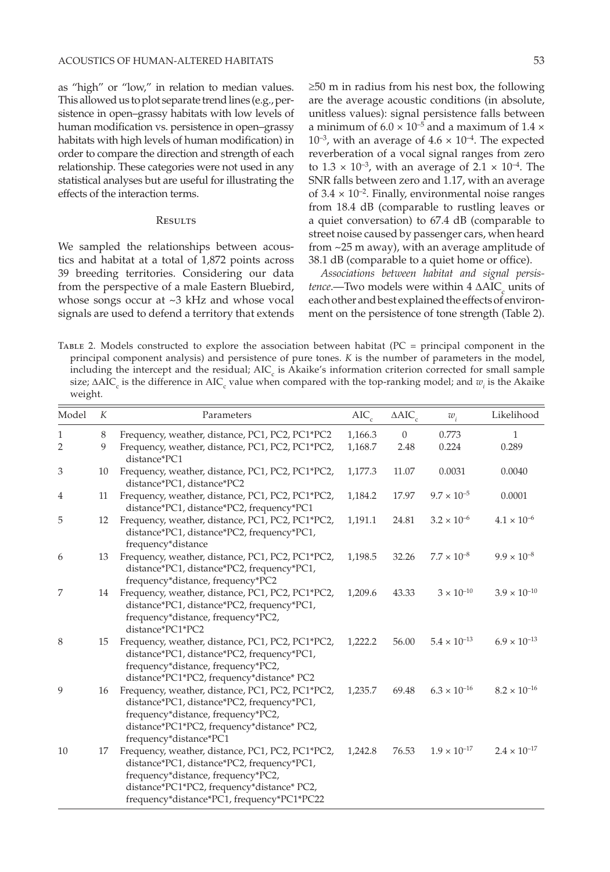as "high" or "low," in relation to median values. This allowed us to plot separate trend lines (e.g., persistence in open–grassy habitats with low levels of human modification vs. persistence in open–grassy habitats with high levels of human modification) in order to compare the direction and strength of each relationship. These categories were not used in any statistical analyses but are useful for illustrating the effects of the interaction terms.

### **RESULTS**

We sampled the relationships between acoustics and habitat at a total of 1,872 points across 39 breeding territories. Considering our data from the perspective of a male Eastern Bluebird, whose songs occur at ~3 kHz and whose vocal signals are used to defend a territory that extends ≥50 m in radius from his nest box, the following are the average acoustic conditions (in absolute, unitless values): signal persistence falls between a minimum of  $6.0 \times 10^{-5}$  and a maximum of  $1.4 \times$  $10^{-3}$ , with an average of  $4.6 \times 10^{-4}$ . The expected reverberation of a vocal signal ranges from zero to  $1.3 \times 10^{-3}$ , with an average of  $2.1 \times 10^{-4}$ . The SNR falls between zero and 1.17, with an average of  $3.4 \times 10^{-2}$ . Finally, environmental noise ranges from 18.4 dB (comparable to rustling leaves or a quiet conversation) to 67.4 dB (comparable to street noise caused by passenger cars, when heard from ~25 m away), with an average amplitude of 38.1 dB (comparable to a quiet home or office).

*Associations between habitat and signal persis* $tence$ .—Two models were within  $4 \Delta AIC_c$  units of each other and best explained the effects of environment on the persistence of tone strength (Table 2).

Table 2. Models constructed to explore the association between habitat (PC = principal component in the principal component analysis) and persistence of pure tones. *K* is the number of parameters in the model, including the intercept and the residual; AIC<sub>c</sub> is Akaike's information criterion corrected for small sample size;  $\Delta AIC_c$  is the difference in AIC<sub>c</sub> value when compared with the top-ranking model; and  $w_i$  is the Akaike weight.

| Model          | K  | Parameters                                                                                                                                                                                                                       | $AIC_c$ | $\triangle AIC_c$ | $w_i$                 | Likelihood            |
|----------------|----|----------------------------------------------------------------------------------------------------------------------------------------------------------------------------------------------------------------------------------|---------|-------------------|-----------------------|-----------------------|
| 1              | 8  | Frequency, weather, distance, PC1, PC2, PC1*PC2                                                                                                                                                                                  | 1,166.3 | $\overline{0}$    | 0.773                 | $\mathbf{1}$          |
| $\overline{2}$ | 9  | Frequency, weather, distance, PC1, PC2, PC1*PC2,<br>distance*PC1                                                                                                                                                                 | 1,168.7 | 2.48              | 0.224                 | 0.289                 |
| 3              | 10 | Frequency, weather, distance, PC1, PC2, PC1*PC2,<br>distance*PC1, distance*PC2                                                                                                                                                   | 1,177.3 | 11.07             | 0.0031                | 0.0040                |
| 4              | 11 | Frequency, weather, distance, PC1, PC2, PC1*PC2,<br>distance*PC1, distance*PC2, frequency*PC1                                                                                                                                    | 1,184.2 | 17.97             | $9.7 \times 10^{-5}$  | 0.0001                |
| 5              | 12 | Frequency, weather, distance, PC1, PC2, PC1*PC2,<br>distance*PC1, distance*PC2, frequency*PC1,<br>frequency*distance                                                                                                             | 1,191.1 | 24.81             | $3.2 \times 10^{-6}$  | $4.1 \times 10^{-6}$  |
| 6              | 13 | Frequency, weather, distance, PC1, PC2, PC1*PC2,<br>distance*PC1, distance*PC2, frequency*PC1,<br>frequency*distance, frequency*PC2                                                                                              | 1,198.5 | 32.26             | $7.7 \times 10^{-8}$  | $9.9 \times 10^{-8}$  |
| 7              | 14 | Frequency, weather, distance, PC1, PC2, PC1*PC2,<br>distance*PC1, distance*PC2, frequency*PC1,<br>frequency*distance, frequency*PC2,<br>distance*PC1*PC2                                                                         | 1,209.6 | 43.33             | $3 \times 10^{-10}$   | $3.9 \times 10^{-10}$ |
| 8              | 15 | Frequency, weather, distance, PC1, PC2, PC1*PC2,<br>distance*PC1, distance*PC2, frequency*PC1,<br>frequency*distance, frequency*PC2,<br>distance*PC1*PC2, frequency*distance* PC2                                                | 1,222.2 | 56.00             | $5.4 \times 10^{-13}$ | $6.9 \times 10^{-13}$ |
| 9              | 16 | Frequency, weather, distance, PC1, PC2, PC1*PC2,<br>distance*PC1, distance*PC2, frequency*PC1,<br>frequency*distance, frequency*PC2,<br>distance*PC1*PC2, frequency*distance* PC2,<br>frequency*distance*PC1                     | 1,235.7 | 69.48             | $6.3 \times 10^{-16}$ | $8.2 \times 10^{-16}$ |
| 10             | 17 | Frequency, weather, distance, PC1, PC2, PC1*PC2,<br>distance*PC1, distance*PC2, frequency*PC1,<br>frequency*distance, frequency*PC2,<br>distance*PC1*PC2, frequency*distance* PC2,<br>frequency*distance*PC1, frequency*PC1*PC22 | 1,242.8 | 76.53             | $1.9 \times 10^{-17}$ | $2.4 \times 10^{-17}$ |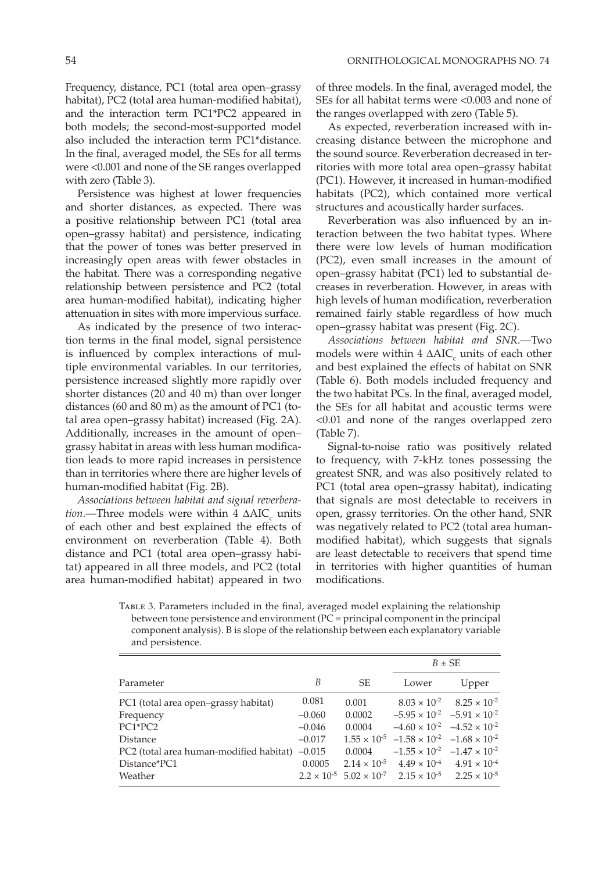Frequency, distance, PC1 (total area open–grassy habitat), PC2 (total area human-modified habitat), and the interaction term PC1\*PC2 appeared in both models; the second-most-supported model also included the interaction term PC1\*distance. In the final, averaged model, the SEs for all terms were <0.001 and none of the SE ranges overlapped with zero (Table 3).

Persistence was highest at lower frequencies and shorter distances, as expected. There was a positive relationship between PC1 (total area open–grassy habitat) and persistence, indicating that the power of tones was better preserved in increasingly open areas with fewer obstacles in the habitat. There was a corresponding negative relationship between persistence and PC2 (total area human-modified habitat), indicating higher attenuation in sites with more impervious surface.

As indicated by the presence of two interaction terms in the final model, signal persistence is influenced by complex interactions of multiple environmental variables. In our territories, persistence increased slightly more rapidly over shorter distances (20 and 40 m) than over longer distances (60 and 80 m) as the amount of PC1 (total area open–grassy habitat) increased (Fig. 2A). Additionally, increases in the amount of open– grassy habitat in areas with less human modification leads to more rapid increases in persistence than in territories where there are higher levels of human-modified habitat (Fig. 2B).

*Associations between habitat and signal reverbera* $tion$ —Three models were within  $4$   $\Delta AIC_{c}$  units of each other and best explained the effects of environment on reverberation (Table 4). Both distance and PC1 (total area open–grassy habitat) appeared in all three models, and PC2 (total area human-modified habitat) appeared in two

of three models. In the final, averaged model, the SEs for all habitat terms were <0.003 and none of the ranges overlapped with zero (Table 5).

As expected, reverberation increased with increasing distance between the microphone and the sound source. Reverberation decreased in territories with more total area open–grassy habitat (PC1). However, it increased in human-modified habitats (PC2), which contained more vertical structures and acoustically harder surfaces.

Reverberation was also influenced by an interaction between the two habitat types. Where there were low levels of human modification (PC2), even small increases in the amount of open–grassy habitat (PC1) led to substantial decreases in reverberation. However, in areas with high levels of human modification, reverberation remained fairly stable regardless of how much open–grassy habitat was present (Fig. 2C).

*Associations between habitat and SNR*.—Two models were within  $4 \Delta AIC_c$  units of each other and best explained the effects of habitat on SNR (Table 6). Both models included frequency and the two habitat PCs. In the final, averaged model, the SEs for all habitat and acoustic terms were <0.01 and none of the ranges overlapped zero (Table 7).

Signal-to-noise ratio was positively related to frequency, with 7-kHz tones possessing the greatest SNR, and was also positively related to PC1 (total area open–grassy habitat), indicating that signals are most detectable to receivers in open, grassy territories. On the other hand, SNR was negatively related to PC2 (total area humanmodified habitat), which suggests that signals are least detectable to receivers that spend time in territories with higher quantities of human modifications.

Table 3. Parameters included in the final, averaged model explaining the relationship between tone persistence and environment (PC = principal component in the principal component analysis). B is slope of the relationship between each explanatory variable and persistence.

|                                                  |          |        | $B \pm SE$                                                                             |                                               |  |
|--------------------------------------------------|----------|--------|----------------------------------------------------------------------------------------|-----------------------------------------------|--|
| Parameter                                        | B        | SE     | Lower                                                                                  | Upper                                         |  |
| PC1 (total area open-grassy habitat)             | 0.081    | 0.001  |                                                                                        | $8.03 \times 10^{-2}$ $8.25 \times 10^{-2}$   |  |
| Frequency                                        | $-0.060$ | 0.0002 |                                                                                        | $-5.95 \times 10^{-2}$ $-5.91 \times 10^{-2}$ |  |
| PC1*PC2                                          | $-0.046$ | 0.0004 |                                                                                        | $-4.60 \times 10^{-2}$ $-4.52 \times 10^{-2}$ |  |
| Distance                                         | $-0.017$ |        | $1.55 \times 10^{-5}$ $-1.58 \times 10^{-2}$ $-1.68 \times 10^{-2}$                    |                                               |  |
| PC2 (total area human-modified habitat) $-0.015$ |          | 0.0004 |                                                                                        | $-1.55 \times 10^{-2}$ $-1.47 \times 10^{-2}$ |  |
| Distance*PC1                                     | 0.0005   |        | $2.14 \times 10^{-5}$ $4.49 \times 10^{-4}$ $4.91 \times 10^{-4}$                      |                                               |  |
| Weather                                          |          |        | $2.2 \times 10^{-5}$ $5.02 \times 10^{-7}$ $2.15 \times 10^{-5}$ $2.25 \times 10^{-5}$ |                                               |  |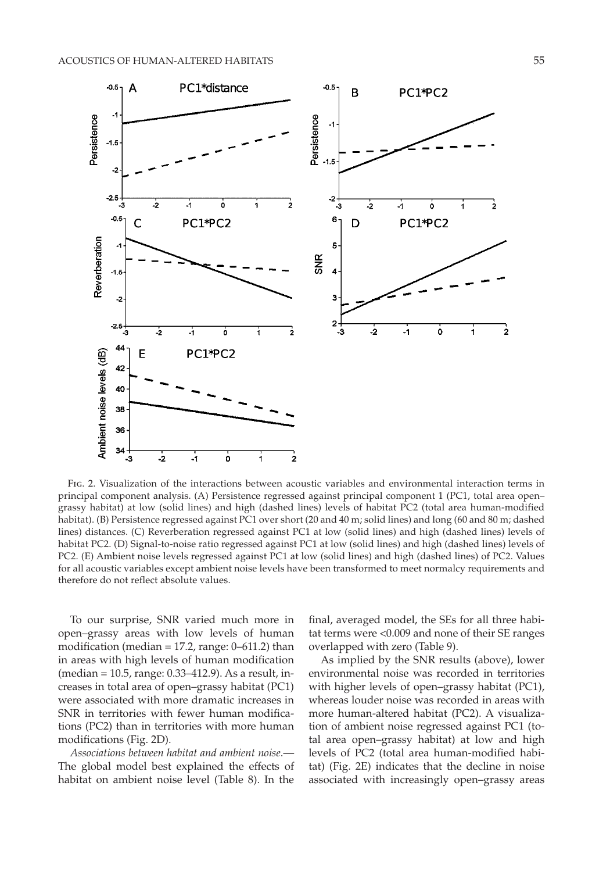

Fig. 2. Visualization of the interactions between acoustic variables and environmental interaction terms in principal component analysis. (A) Persistence regressed against principal component 1 (PC1, total area open– grassy habitat) at low (solid lines) and high (dashed lines) levels of habitat PC2 (total area human-modified habitat). (B) Persistence regressed against PC1 over short (20 and 40 m; solid lines) and long (60 and 80 m; dashed lines) distances. (C) Reverberation regressed against PC1 at low (solid lines) and high (dashed lines) levels of habitat PC2. (D) Signal-to-noise ratio regressed against PC1 at low (solid lines) and high (dashed lines) levels of PC2. (E) Ambient noise levels regressed against PC1 at low (solid lines) and high (dashed lines) of PC2. Values for all acoustic variables except ambient noise levels have been transformed to meet normalcy requirements and therefore do not reflect absolute values.

To our surprise, SNR varied much more in open–grassy areas with low levels of human modification (median  $= 17.2$ , range: 0–611.2) than in areas with high levels of human modification (median = 10.5, range: 0.33–412.9). As a result, increases in total area of open–grassy habitat (PC1) were associated with more dramatic increases in SNR in territories with fewer human modifications (PC2) than in territories with more human modifications (Fig. 2D).

*Associations between habitat and ambient noise*.— The global model best explained the effects of habitat on ambient noise level (Table 8). In the final, averaged model, the SEs for all three habitat terms were <0.009 and none of their SE ranges overlapped with zero (Table 9).

As implied by the SNR results (above), lower environmental noise was recorded in territories with higher levels of open–grassy habitat (PC1), whereas louder noise was recorded in areas with more human-altered habitat (PC2). A visualization of ambient noise regressed against PC1 (total area open–grassy habitat) at low and high levels of PC2 (total area human-modified habitat) (Fig. 2E) indicates that the decline in noise associated with increasingly open–grassy areas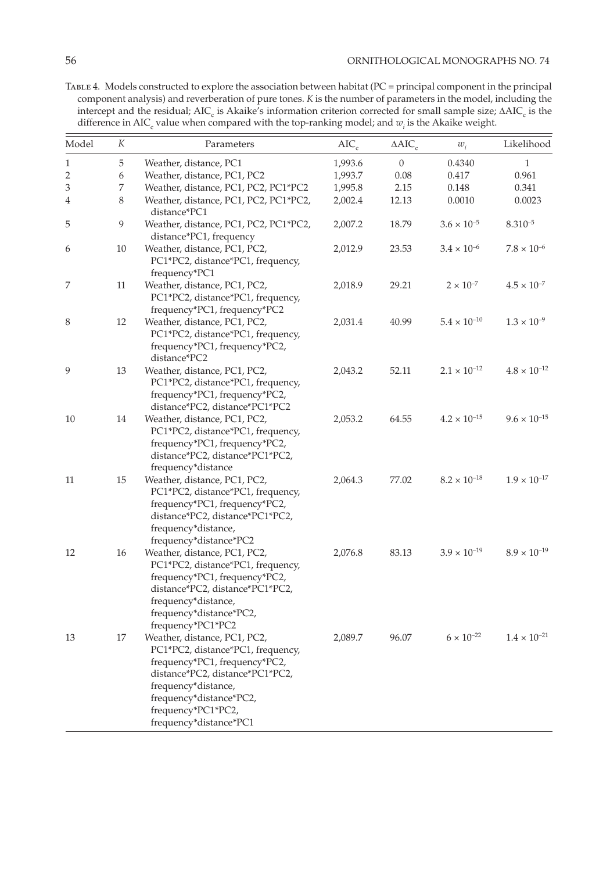Table 4. Models constructed to explore the association between habitat (PC = principal component in the principal component analysis) and reverberation of pure tones. *K* is the number of parameters in the model, including the intercept and the residual;  $AIC_c$  is Akaike's information criterion corrected for small sample size;  $\Delta AIC_c$  is the difference in AIC<sub>c</sub> value when compared with the top-ranking model; and  $w_i$  is the Akaike weight.

| Model          | К  | Parameters                                                                                                                                                                                                                              | $AIC_c$ | $\triangle AIC_c$ | $w_i$                 | Likelihood            |
|----------------|----|-----------------------------------------------------------------------------------------------------------------------------------------------------------------------------------------------------------------------------------------|---------|-------------------|-----------------------|-----------------------|
| $\mathbf{1}$   | 5  | Weather, distance, PC1                                                                                                                                                                                                                  | 1,993.6 | $\boldsymbol{0}$  | 0.4340                | $\mathbf{1}$          |
| $\overline{2}$ | 6  | Weather, distance, PC1, PC2                                                                                                                                                                                                             | 1,993.7 | 0.08              | 0.417                 | 0.961                 |
| 3              | 7  | Weather, distance, PC1, PC2, PC1*PC2                                                                                                                                                                                                    | 1,995.8 | 2.15              | 0.148                 | 0.341                 |
| 4              | 8  | Weather, distance, PC1, PC2, PC1*PC2,<br>distance*PC1                                                                                                                                                                                   | 2,002.4 | 12.13             | 0.0010                | 0.0023                |
| 5              | 9  | Weather, distance, PC1, PC2, PC1*PC2,<br>distance*PC1, frequency                                                                                                                                                                        | 2,007.2 | 18.79             | $3.6 \times 10^{-5}$  | $8.310^{-5}$          |
| 6              | 10 | Weather, distance, PC1, PC2,<br>PC1*PC2, distance*PC1, frequency,<br>frequency*PC1                                                                                                                                                      | 2,012.9 | 23.53             | $3.4 \times 10^{-6}$  | $7.8 \times 10^{-6}$  |
| 7              | 11 | Weather, distance, PC1, PC2,<br>PC1*PC2, distance*PC1, frequency,<br>frequency*PC1, frequency*PC2                                                                                                                                       | 2,018.9 | 29.21             | $2 \times 10^{-7}$    | $4.5 \times 10^{-7}$  |
| 8              | 12 | Weather, distance, PC1, PC2,<br>PC1*PC2, distance*PC1, frequency,<br>frequency*PC1, frequency*PC2,<br>distance*PC2                                                                                                                      | 2,031.4 | 40.99             | $5.4 \times 10^{-10}$ | $1.3 \times 10^{-9}$  |
| 9              | 13 | Weather, distance, PC1, PC2,<br>PC1*PC2, distance*PC1, frequency,<br>frequency*PC1, frequency*PC2,<br>distance*PC2, distance*PC1*PC2                                                                                                    | 2,043.2 | 52.11             | $2.1\times10^{-12}$   | $4.8 \times 10^{-12}$ |
| 10             | 14 | Weather, distance, PC1, PC2,<br>PC1*PC2, distance*PC1, frequency,<br>frequency*PC1, frequency*PC2,<br>distance*PC2, distance*PC1*PC2,<br>frequency*distance                                                                             | 2,053.2 | 64.55             | $4.2 \times 10^{-15}$ | $9.6 \times 10^{-15}$ |
| 11             | 15 | Weather, distance, PC1, PC2,<br>PC1*PC2, distance*PC1, frequency,<br>frequency*PC1, frequency*PC2,<br>distance*PC2, distance*PC1*PC2,<br>frequency*distance,<br>frequency*distance*PC2                                                  | 2,064.3 | 77.02             | $8.2 \times 10^{-18}$ | $1.9 \times 10^{-17}$ |
| 12             | 16 | Weather, distance, PC1, PC2,<br>PC1*PC2, distance*PC1, frequency,<br>frequency*PC1, frequency*PC2,<br>distance*PC2, distance*PC1*PC2,<br>frequency*distance,<br>frequency*distance*PC2,<br>frequency*PC1*PC2                            | 2,076.8 | 83.13             | $3.9 \times 10^{-19}$ | $8.9 \times 10^{-19}$ |
| 13             | 17 | Weather, distance, PC1, PC2,<br>PC1*PC2, distance*PC1, frequency,<br>frequency*PC1, frequency*PC2,<br>distance*PC2, distance*PC1*PC2,<br>frequency*distance,<br>frequency*distance*PC2,<br>frequency*PC1*PC2,<br>frequency*distance*PC1 | 2,089.7 | 96.07             | $6 \times 10^{-22}$   | $1.4 \times 10^{-21}$ |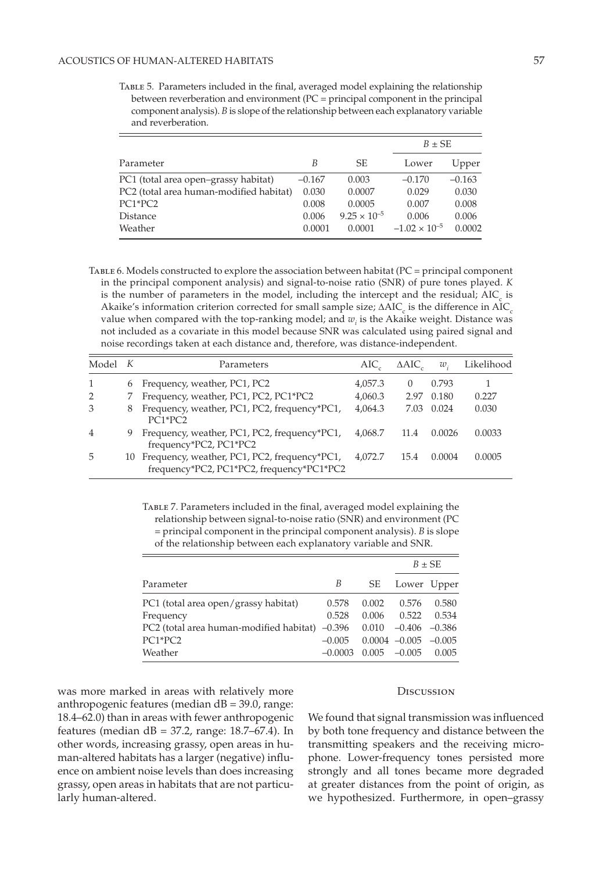Table 5. Parameters included in the final, averaged model explaining the relationship between reverberation and environment (PC = principal component in the principal component analysis). *B* is slope of the relationship between each explanatory variable and reverberation.

|                                         |          |                       |                        | $B \pm SE$ |  |
|-----------------------------------------|----------|-----------------------|------------------------|------------|--|
| Parameter                               | В        | SE.                   | Lower                  | Upper      |  |
| PC1 (total area open-grassy habitat)    | $-0.167$ | 0.003                 | $-0.170$               | $-0.163$   |  |
| PC2 (total area human-modified habitat) | 0.030    | 0.0007                | 0.029                  | 0.030      |  |
| PC1*PC2                                 | 0.008    | 0.0005                | 0.007                  | 0.008      |  |
| Distance                                | 0.006    | $9.25 \times 10^{-5}$ | 0.006                  | 0.006      |  |
| Weather                                 | 0.0001   | 0.0001                | $-1.02 \times 10^{-5}$ | 0.0002     |  |

Table 6. Models constructed to explore the association between habitat (PC = principal component in the principal component analysis) and signal-to-noise ratio (SNR) of pure tones played. *K* is the number of parameters in the model, including the intercept and the residual;  $AIC<sub>c</sub>$  is Akaike's information criterion corrected for small sample size;  $\Delta AIC_c$  is the difference in  $AIC_c$ value when compared with the top-ranking model; and  $w_i$  is the Akaike weight. Distance was not included as a covariate in this model because SNR was calculated using paired signal and noise recordings taken at each distance and, therefore, was distance-independent.

| Model K        |   | Parameters                                                                                   | AIC.    | $\triangle AIC$  | $w$ .  | Likelihood |
|----------------|---|----------------------------------------------------------------------------------------------|---------|------------------|--------|------------|
| 1              | 6 | Frequency, weather, PC1, PC2                                                                 | 4,057.3 | $\left( \right)$ | 0.793  |            |
| $\overline{2}$ |   | Frequency, weather, PC1, PC2, PC1*PC2                                                        | 4,060.3 | 2.97             | 0.180  | 0.227      |
| 3              | 8 | Frequency, weather, PC1, PC2, frequency*PC1,<br>$PC1*PC2$                                    | 4,064.3 | 7.03             | 0.024  | 0.030      |
| $\overline{4}$ | 9 | Frequency, weather, PC1, PC2, frequency*PC1,<br>frequency*PC2, PC1*PC2                       | 4,068.7 | 11.4             | 0.0026 | 0.0033     |
| 5              |   | 10 Frequency, weather, PC1, PC2, frequency*PC1,<br>frequency*PC2, PC1*PC2, frequency*PC1*PC2 | 4.072.7 | 15.4             | 0.0004 | 0.0005     |

TABLE 7. Parameters included in the final, averaged model explaining the relationship between signal-to-noise ratio (SNR) and environment (PC = principal component in the principal component analysis). *B* is slope of the relationship between each explanatory variable and SNR.

|                                                    |           |       | $B \pm SE$        |          |
|----------------------------------------------------|-----------|-------|-------------------|----------|
| Parameter                                          | В         | SE    | Lower Upper       |          |
| PC1 (total area open/grassy habitat)               | 0.578     | 0.002 | 0.576             | 0.580    |
| Frequency                                          | 0.528     | 0.006 | 0.522             | 0.534    |
| $PC2$ (total area human-modified habitat) $-0.396$ |           | 0.010 | $-0.406$ $-0.386$ |          |
| PC1*PC2                                            | $-0.005$  |       | $0.0004 -0.005$   | $-0.005$ |
| Weather                                            | $-0.0003$ | 0.005 | $-0.005$          | 0.005    |

was more marked in areas with relatively more anthropogenic features (median dB = 39.0, range: 18.4–62.0) than in areas with fewer anthropogenic features (median  $dB = 37.2$ , range: 18.7–67.4). In other words, increasing grassy, open areas in human-altered habitats has a larger (negative) influence on ambient noise levels than does increasing grassy, open areas in habitats that are not particularly human-altered.

#### **DISCUSSION**

We found that signal transmission was influenced by both tone frequency and distance between the transmitting speakers and the receiving microphone. Lower-frequency tones persisted more strongly and all tones became more degraded at greater distances from the point of origin, as we hypothesized. Furthermore, in open–grassy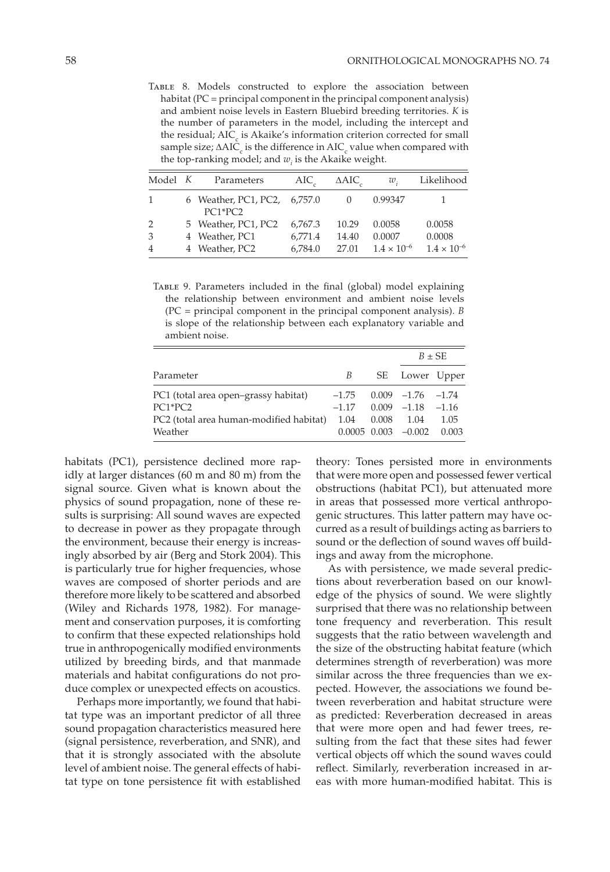Table 8. Models constructed to explore the association between habitat (PC = principal component in the principal component analysis) and ambient noise levels in Eastern Bluebird breeding territories. *K* is the number of parameters in the model, including the intercept and the residual;  $\text{AIC}_c$  is Akaike's information criterion corrected for small sample size;  $\Delta\text{AIC}_\text{c}$  is the difference in  $\text{AIC}_\text{c}$  value when compared with the top-ranking model; and  $w_i$  is the Akaike weight.

| Model K | Parameters                                | $AIC_{\alpha}$ | $\triangle AIC$ | $w_{1}$              | Likelihood           |
|---------|-------------------------------------------|----------------|-----------------|----------------------|----------------------|
|         | 6 Weather, PC1, PC2, 6,757.0<br>$PC1*PC2$ |                |                 | 0.99347              |                      |
|         | 5 Weather, PC1, PC2                       | 6.767.3        | 10.29           | 0.0058               | 0.0058               |
| 3       | 4 Weather, PC1                            | 6,771.4        | 14.40           | 0.0007               | 0.0008               |
|         | 4 Weather, PC2                            | 6,784.0        | 27.01           | $1.4 \times 10^{-6}$ | $1.4 \times 10^{-6}$ |

TABLE 9. Parameters included in the final (global) model explaining the relationship between environment and ambient noise levels (PC = principal component in the principal component analysis). *B*  is slope of the relationship between each explanatory variable and ambient noise.

|                                         |         |       | $B \pm SE$                |         |
|-----------------------------------------|---------|-------|---------------------------|---------|
| Parameter                               | B       |       | SE Lower Upper            |         |
| PC1 (total area open-grassy habitat)    | $-1.75$ |       | $0.009 -1.76 -1.74$       |         |
| $PC1*PC2$                               | $-1.17$ |       | $0.009 -1.18$             | $-1.16$ |
| PC2 (total area human-modified habitat) | 1.04    | 0.008 | 1.04                      | 1.05    |
| Weather                                 |         |       | $0.0005$ $0.003$ $-0.002$ | 0.003   |

habitats (PC1), persistence declined more rapidly at larger distances (60 m and 80 m) from the signal source. Given what is known about the physics of sound propagation, none of these results is surprising: All sound waves are expected to decrease in power as they propagate through the environment, because their energy is increasingly absorbed by air (Berg and Stork 2004). This is particularly true for higher frequencies, whose waves are composed of shorter periods and are therefore more likely to be scattered and absorbed (Wiley and Richards 1978, 1982). For management and conservation purposes, it is comforting to confirm that these expected relationships hold true in anthropogenically modified environments utilized by breeding birds, and that manmade materials and habitat configurations do not produce complex or unexpected effects on acoustics.

Perhaps more importantly, we found that habitat type was an important predictor of all three sound propagation characteristics measured here (signal persistence, reverberation, and SNR), and that it is strongly associated with the absolute level of ambient noise. The general effects of habitat type on tone persistence fit with established

theory: Tones persisted more in environments that were more open and possessed fewer vertical obstructions (habitat PC1), but attenuated more in areas that possessed more vertical anthropogenic structures. This latter pattern may have occurred as a result of buildings acting as barriers to sound or the deflection of sound waves off buildings and away from the microphone.

As with persistence, we made several predictions about reverberation based on our knowledge of the physics of sound. We were slightly surprised that there was no relationship between tone frequency and reverberation. This result suggests that the ratio between wavelength and the size of the obstructing habitat feature (which determines strength of reverberation) was more similar across the three frequencies than we expected. However, the associations we found between reverberation and habitat structure were as predicted: Reverberation decreased in areas that were more open and had fewer trees, resulting from the fact that these sites had fewer vertical objects off which the sound waves could reflect. Similarly, reverberation increased in areas with more human-modified habitat. This is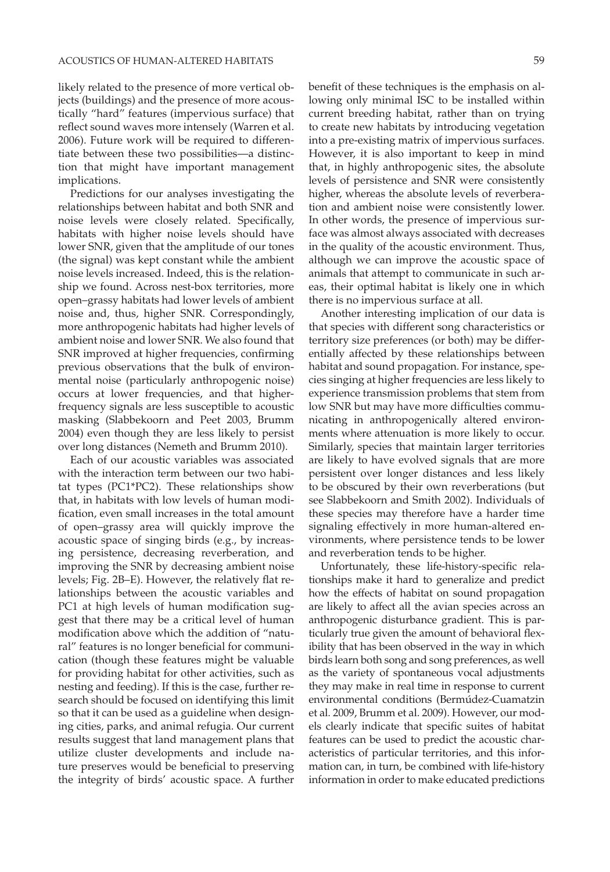likely related to the presence of more vertical objects (buildings) and the presence of more acoustically "hard" features (impervious surface) that reflect sound waves more intensely (Warren et al. 2006). Future work will be required to differentiate between these two possibilities—a distinction that might have important management implications.

Predictions for our analyses investigating the relationships between habitat and both SNR and noise levels were closely related. Specifically, habitats with higher noise levels should have lower SNR, given that the amplitude of our tones (the signal) was kept constant while the ambient noise levels increased. Indeed, this is the relationship we found. Across nest-box territories, more open–grassy habitats had lower levels of ambient noise and, thus, higher SNR. Correspondingly, more anthropogenic habitats had higher levels of ambient noise and lower SNR. We also found that SNR improved at higher frequencies, confirming previous observations that the bulk of environmental noise (particularly anthropogenic noise) occurs at lower frequencies, and that higherfrequency signals are less susceptible to acoustic masking (Slabbekoorn and Peet 2003, Brumm 2004) even though they are less likely to persist over long distances (Nemeth and Brumm 2010).

Each of our acoustic variables was associated with the interaction term between our two habitat types (PC1\*PC2). These relationships show that, in habitats with low levels of human modification, even small increases in the total amount of open–grassy area will quickly improve the acoustic space of singing birds (e.g., by increasing persistence, decreasing reverberation, and improving the SNR by decreasing ambient noise levels; Fig. 2B–E). However, the relatively flat relationships between the acoustic variables and PC1 at high levels of human modification suggest that there may be a critical level of human modification above which the addition of "natural" features is no longer beneficial for communication (though these features might be valuable for providing habitat for other activities, such as nesting and feeding). If this is the case, further research should be focused on identifying this limit so that it can be used as a guideline when designing cities, parks, and animal refugia. Our current results suggest that land management plans that utilize cluster developments and include nature preserves would be beneficial to preserving the integrity of birds' acoustic space. A further benefit of these techniques is the emphasis on allowing only minimal ISC to be installed within current breeding habitat, rather than on trying to create new habitats by introducing vegetation into a pre-existing matrix of impervious surfaces. However, it is also important to keep in mind that, in highly anthropogenic sites, the absolute levels of persistence and SNR were consistently higher, whereas the absolute levels of reverberation and ambient noise were consistently lower. In other words, the presence of impervious surface was almost always associated with decreases in the quality of the acoustic environment. Thus, although we can improve the acoustic space of animals that attempt to communicate in such areas, their optimal habitat is likely one in which there is no impervious surface at all.

Another interesting implication of our data is that species with different song characteristics or territory size preferences (or both) may be differentially affected by these relationships between habitat and sound propagation. For instance, species singing at higher frequencies are less likely to experience transmission problems that stem from low SNR but may have more difficulties communicating in anthropogenically altered environments where attenuation is more likely to occur. Similarly, species that maintain larger territories are likely to have evolved signals that are more persistent over longer distances and less likely to be obscured by their own reverberations (but see Slabbekoorn and Smith 2002). Individuals of these species may therefore have a harder time signaling effectively in more human-altered environments, where persistence tends to be lower and reverberation tends to be higher.

Unfortunately, these life-history-specific relationships make it hard to generalize and predict how the effects of habitat on sound propagation are likely to affect all the avian species across an anthropogenic disturbance gradient. This is particularly true given the amount of behavioral flexibility that has been observed in the way in which birds learn both song and song preferences, as well as the variety of spontaneous vocal adjustments they may make in real time in response to current environmental conditions (Bermúdez-Cuamatzin et al. 2009, Brumm et al. 2009). However, our models clearly indicate that specific suites of habitat features can be used to predict the acoustic characteristics of particular territories, and this information can, in turn, be combined with life-history information in order to make educated predictions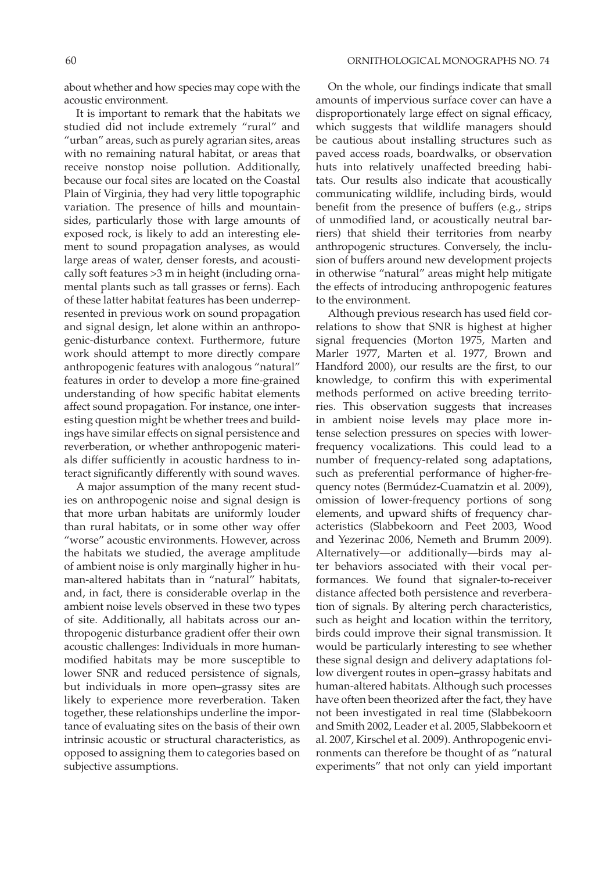about whether and how species may cope with the acoustic environment.

It is important to remark that the habitats we studied did not include extremely "rural" and "urban" areas, such as purely agrarian sites, areas with no remaining natural habitat, or areas that receive nonstop noise pollution. Additionally, because our focal sites are located on the Coastal Plain of Virginia, they had very little topographic variation. The presence of hills and mountainsides, particularly those with large amounts of exposed rock, is likely to add an interesting element to sound propagation analyses, as would large areas of water, denser forests, and acoustically soft features >3 m in height (including ornamental plants such as tall grasses or ferns). Each of these latter habitat features has been underrepresented in previous work on sound propagation and signal design, let alone within an anthropogenic-disturbance context. Furthermore, future work should attempt to more directly compare anthropogenic features with analogous "natural" features in order to develop a more fine-grained understanding of how specific habitat elements affect sound propagation. For instance, one interesting question might be whether trees and buildings have similar effects on signal persistence and reverberation, or whether anthropogenic materials differ sufficiently in acoustic hardness to interact significantly differently with sound waves.

A major assumption of the many recent studies on anthropogenic noise and signal design is that more urban habitats are uniformly louder than rural habitats, or in some other way offer "worse" acoustic environments. However, across the habitats we studied, the average amplitude of ambient noise is only marginally higher in human-altered habitats than in "natural" habitats, and, in fact, there is considerable overlap in the ambient noise levels observed in these two types of site. Additionally, all habitats across our anthropogenic disturbance gradient offer their own acoustic challenges: Individuals in more humanmodified habitats may be more susceptible to lower SNR and reduced persistence of signals, but individuals in more open–grassy sites are likely to experience more reverberation. Taken together, these relationships underline the importance of evaluating sites on the basis of their own intrinsic acoustic or structural characteristics, as opposed to assigning them to categories based on subjective assumptions.

On the whole, our findings indicate that small amounts of impervious surface cover can have a disproportionately large effect on signal efficacy, which suggests that wildlife managers should be cautious about installing structures such as paved access roads, boardwalks, or observation huts into relatively unaffected breeding habitats. Our results also indicate that acoustically communicating wildlife, including birds, would benefit from the presence of buffers (e.g., strips of unmodified land, or acoustically neutral barriers) that shield their territories from nearby anthropogenic structures. Conversely, the inclusion of buffers around new development projects in otherwise "natural" areas might help mitigate the effects of introducing anthropogenic features to the environment.

Although previous research has used field correlations to show that SNR is highest at higher signal frequencies (Morton 1975, Marten and Marler 1977, Marten et al. 1977, Brown and Handford 2000), our results are the first, to our knowledge, to confirm this with experimental methods performed on active breeding territories. This observation suggests that increases in ambient noise levels may place more intense selection pressures on species with lowerfrequency vocalizations. This could lead to a number of frequency-related song adaptations, such as preferential performance of higher-frequency notes (Bermúdez-Cuamatzin et al. 2009), omission of lower-frequency portions of song elements, and upward shifts of frequency characteristics (Slabbekoorn and Peet 2003, Wood and Yezerinac 2006, Nemeth and Brumm 2009). Alternatively—or additionally—birds may alter behaviors associated with their vocal performances. We found that signaler-to-receiver distance affected both persistence and reverberation of signals. By altering perch characteristics, such as height and location within the territory, birds could improve their signal transmission. It would be particularly interesting to see whether these signal design and delivery adaptations follow divergent routes in open–grassy habitats and human-altered habitats. Although such processes have often been theorized after the fact, they have not been investigated in real time (Slabbekoorn and Smith 2002, Leader et al. 2005, Slabbekoorn et al. 2007, Kirschel et al. 2009). Anthropogenic environments can therefore be thought of as "natural experiments" that not only can yield important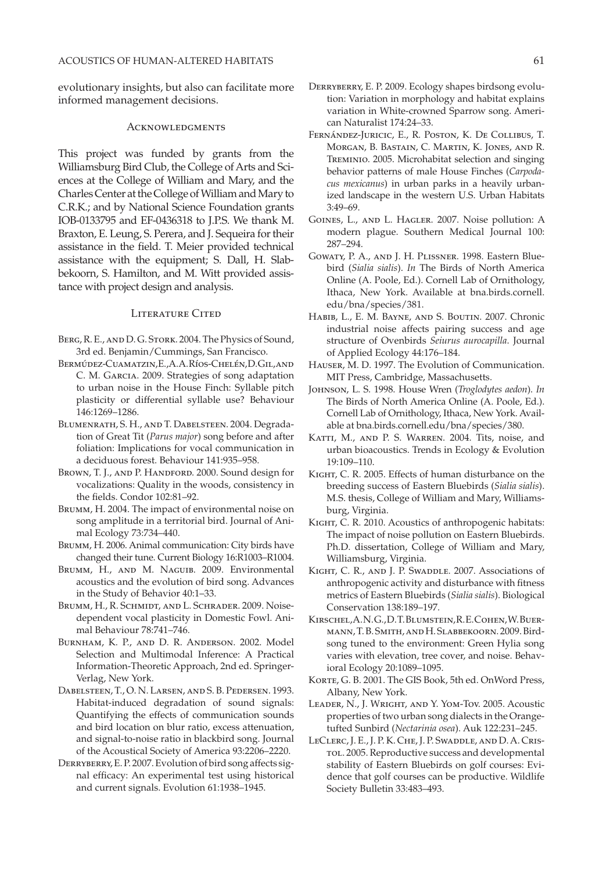evolutionary insights, but also can facilitate more informed management decisions.

#### **ACKNOWLEDGMENTS**

This project was funded by grants from the Williamsburg Bird Club, the College of Arts and Sciences at the College of William and Mary, and the Charles Center at the College of William and Mary to C.R.K.; and by National Science Foundation grants IOB-0133795 and EF-0436318 to J.P.S. We thank M. Braxton, E. Leung, S. Perera, and J. Sequeira for their assistance in the field. T. Meier provided technical assistance with the equipment; S. Dall, H. Slabbekoorn, S. Hamilton, and M. Witt provided assistance with project design and analysis.

### LITERATURE CITED

- Berg, R. E., and D. G. Stork. 2004. The Physics of Sound, 3rd ed. Benjamin/Cummings, San Francisco.
- BERMÚDEZ-CUAMATZIN, E., A. A. RÍOS-CHELÉN, D. GIL, AND C. M. Garcia. 2009. Strategies of song adaptation to urban noise in the House Finch: Syllable pitch plasticity or differential syllable use? Behaviour 146:1269–1286.
- Blumenrath, S. H., and T. Dabelsteen. 2004. Degradation of Great Tit (*Parus major*) song before and after foliation: Implications for vocal communication in a deciduous forest. Behaviour 141:935–958.
- BROWN, T. J., AND P. HANDFORD. 2000. Sound design for vocalizations: Quality in the woods, consistency in the fields. Condor 102:81–92.
- BRUMM, H. 2004. The impact of environmental noise on song amplitude in a territorial bird. Journal of Animal Ecology 73:734–440.
- BRUMM, H. 2006. Animal communication: City birds have changed their tune. Current Biology 16:R1003–R1004.
- BRUMM, H., AND M. NAGUIB. 2009. Environmental acoustics and the evolution of bird song. Advances in the Study of Behavior 40:1–33.
- BRUMM, H., R. SCHMIDT, AND L. SCHRADER. 2009. Noisedependent vocal plasticity in Domestic Fowl. Animal Behaviour 78:741–746.
- Burnham, K. P., and D. R. Anderson. 2002. Model Selection and Multimodal Inference: A Practical Information-Theoretic Approach, 2nd ed. Springer-Verlag, New York.
- Dabelsteen, T., O. N. Larsen, and S. B. Pedersen. 1993. Habitat-induced degradation of sound signals: Quantifying the effects of communication sounds and bird location on blur ratio, excess attenuation, and signal-to-noise ratio in blackbird song. Journal of the Acoustical Society of America 93:2206–2220.
- DERRYBERRY, E.P. 2007. Evolution of bird song affects signal efficacy: An experimental test using historical and current signals. Evolution 61:1938–1945.
- Derryberry, E. P. 2009. Ecology shapes birdsong evolution: Variation in morphology and habitat explains variation in White-crowned Sparrow song. American Naturalist 174:24–33.
- Fernández-Juricic, E., R. Poston, K. De Collibus, T. Morgan, B. Bastain, C. Martin, K. Jones, and R. Treminio. 2005. Microhabitat selection and singing behavior patterns of male House Finches (*Carpodacus mexicanus*) in urban parks in a heavily urbanized landscape in the western U.S. Urban Habitats 3:49–69.
- Goines, L., and L. Hagler. 2007. Noise pollution: A modern plague. Southern Medical Journal 100: 287–294.
- Gowaty, P. A., and J. H. Plissner. 1998. Eastern Bluebird (*Sialia sialis*). *In* The Birds of North America Online (A. Poole, Ed.). Cornell Lab of Ornithology, Ithaca, New York. Available at bna.birds.cornell. edu/bna/species/381.
- Habib, L., E. M. Bayne, and S. Boutin. 2007. Chronic industrial noise affects pairing success and age structure of Ovenbirds *Seiurus aurocapilla*. Journal of Applied Ecology 44:176–184.
- Hauser, M. D. 1997. The Evolution of Communication. MIT Press, Cambridge, Massachusetts.
- Johnson, L. S. 1998. House Wren (*Troglodytes aedon*). *In* The Birds of North America Online (A. Poole, Ed.). Cornell Lab of Ornithology, Ithaca, New York. Available at [bna.birds.cornell.edu/bna/species/380](http://bna.birds.cornell.edu/bna/species/380).
- KATTI, M., AND P. S. WARREN. 2004. Tits, noise, and urban bioacoustics. Trends in Ecology & Evolution 19:109–110.
- KIGHT, C. R. 2005. Effects of human disturbance on the breeding success of Eastern Bluebirds (*Sialia sialis*). M.S. thesis, College of William and Mary, Williamsburg, Virginia.
- KIGHT, C. R. 2010. Acoustics of anthropogenic habitats: The impact of noise pollution on Eastern Bluebirds. Ph.D. dissertation, College of William and Mary, Williamsburg, Virginia.
- KIGHT, C. R., AND J. P. SWADDLE. 2007. Associations of anthropogenic activity and disturbance with fitness metrics of Eastern Bluebirds (*Sialia sialis*). Biological Conservation 138:189–197.
- Kirschel, A. N. G., D. T. Blumstein, R. E. Cohen, W. Buermann, T. B. Smith, and H. Slabbekoorn. 2009. Birdsong tuned to the environment: Green Hylia song varies with elevation, tree cover, and noise. Behavioral Ecology 20:1089–1095.
- Korte, G. B. 2001. The GIS Book, 5th ed. OnWord Press, Albany, New York.
- Leader, N., J. Wright, and Y. Yom-Tov. 2005. Acoustic properties of two urban song dialects in the Orangetufted Sunbird (*Nectarinia osea*). Auk 122:231–245.
- LeClerc, J. E., J. P. K. Che, J. P. Swaddle, and D. A. Cris-TOL. 2005. Reproductive success and developmental stability of Eastern Bluebirds on golf courses: Evidence that golf courses can be productive. Wildlife Society Bulletin 33:483–493.